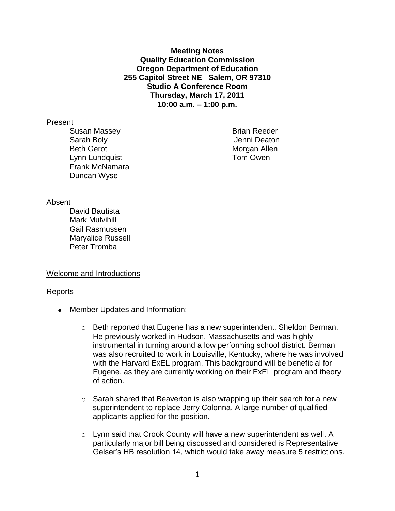**Meeting Notes Quality Education Commission Oregon Department of Education 255 Capitol Street NE Salem, OR 97310 Studio A Conference Room Thursday, March 17, 2011 10:00 a.m. – 1:00 p.m.**

#### Present

Susan Massey **Brian Reeder** Sarah Boly Jenni Deaton Beth Gerot **Morgan Allen** Lynn Lundquist **Tom Owen** Frank McNamara Duncan Wyse

## Absent

David Bautista Mark Mulvihill Gail Rasmussen Maryalice Russell Peter Tromba

## Welcome and Introductions

#### Reports

- Member Updates and Information:
	- $\circ$  Beth reported that Eugene has a new superintendent, Sheldon Berman. He previously worked in Hudson, Massachusetts and was highly instrumental in turning around a low performing school district. Berman was also recruited to work in Louisville, Kentucky, where he was involved with the Harvard ExEL program. This background will be beneficial for Eugene, as they are currently working on their ExEL program and theory of action.
	- o Sarah shared that Beaverton is also wrapping up their search for a new superintendent to replace Jerry Colonna. A large number of qualified applicants applied for the position.
	- $\circ$  Lynn said that Crook County will have a new superintendent as well. A particularly major bill being discussed and considered is Representative Gelser's HB resolution 14, which would take away measure 5 restrictions.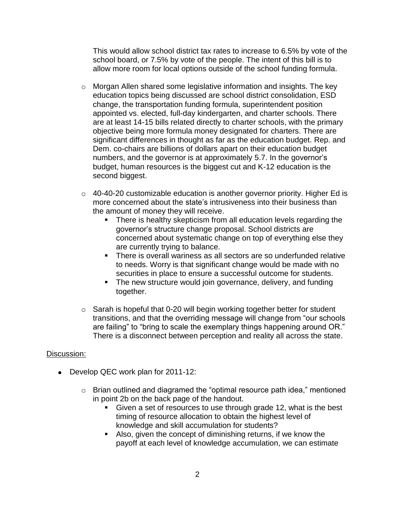This would allow school district tax rates to increase to 6.5% by vote of the school board, or 7.5% by vote of the people. The intent of this bill is to allow more room for local options outside of the school funding formula.

- o Morgan Allen shared some legislative information and insights. The key education topics being discussed are school district consolidation, ESD change, the transportation funding formula, superintendent position appointed vs. elected, full-day kindergarten, and charter schools. There are at least 14-15 bills related directly to charter schools, with the primary objective being more formula money designated for charters. There are significant differences in thought as far as the education budget. Rep. and Dem. co-chairs are billions of dollars apart on their education budget numbers, and the governor is at approximately 5.7. In the governor's budget, human resources is the biggest cut and K-12 education is the second biggest.
- $\circ$  40-40-20 customizable education is another governor priority. Higher Ed is more concerned about the state's intrusiveness into their business than the amount of money they will receive.
	- There is healthy skepticism from all education levels regarding the governor's structure change proposal. School districts are concerned about systematic change on top of everything else they are currently trying to balance.
	- **There is overall wariness as all sectors are so underfunded relative** to needs. Worry is that significant change would be made with no securities in place to ensure a successful outcome for students.
	- The new structure would join governance, delivery, and funding together.
- $\circ$  Sarah is hopeful that 0-20 will begin working together better for student transitions, and that the overriding message will change from "our schools are failing" to "bring to scale the exemplary things happening around OR." There is a disconnect between perception and reality all across the state.

# Discussion:

- Develop QEC work plan for 2011-12:
	- o Brian outlined and diagramed the "optimal resource path idea," mentioned in point 2b on the back page of the handout.
		- Given a set of resources to use through grade 12, what is the best timing of resource allocation to obtain the highest level of knowledge and skill accumulation for students?
		- Also, given the concept of diminishing returns, if we know the payoff at each level of knowledge accumulation, we can estimate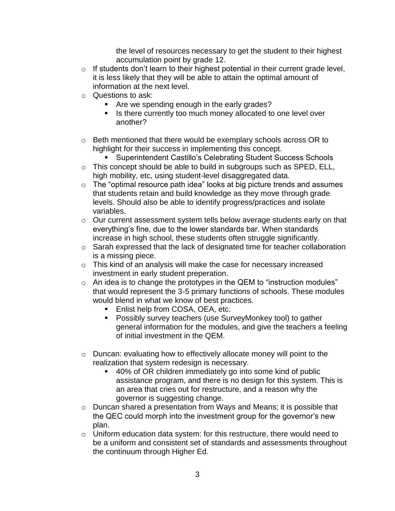the level of resources necessary to get the student to their highest accumulation point by grade 12.

- o If students don't learn to their highest potential in their current grade level, it is less likely that they will be able to attain the optimal amount of information at the next level.
- o Questions to ask:
	- **Are we spending enough in the early grades?**
	- **IF** Is there currently too much money allocated to one level over another?
- o Beth mentioned that there would be exemplary schools across OR to highlight for their success in implementing this concept.
	- **Superintendent Castillo's Celebrating Student Success Schools**
- o This concept should be able to build in subgroups such as SPED, ELL, high mobility, etc, using student-level disaggregated data.
- $\circ$  The "optimal resource path idea" looks at big picture trends and assumes that students retain and build knowledge as they move through grade levels. Should also be able to identify progress/practices and isolate variables.
- o Our current assessment system tells below average students early on that everything's fine, due to the lower standards bar. When standards increase in high school, these students often struggle significantly.
- o Sarah expressed that the lack of designated time for teacher collaboration is a missing piece.
- o This kind of an analysis will make the case for necessary increased investment in early student preperation.
- $\circ$  An idea is to change the prototypes in the QEM to "instruction modules" that would represent the 3-5 primary functions of schools. These modules would blend in what we know of best practices.
	- **Enlist help from COSA, OEA, etc.**
	- **Possibly survey teachers (use SurveyMonkey tool) to gather** general information for the modules, and give the teachers a feeling of initial investment in the QEM.
- o Duncan: evaluating how to effectively allocate money will point to the realization that system redesign is necessary.
	- 40% of OR children immediately go into some kind of public assistance program, and there is no design for this system. This is an area that cries out for restructure, and a reason why the governor is suggesting change.
- o Duncan shared a presentation from Ways and Means; it is possible that the QEC could morph into the investment group for the governor's new plan.
- o Uniform education data system: for this restructure, there would need to be a uniform and consistent set of standards and assessments throughout the continuum through Higher Ed.